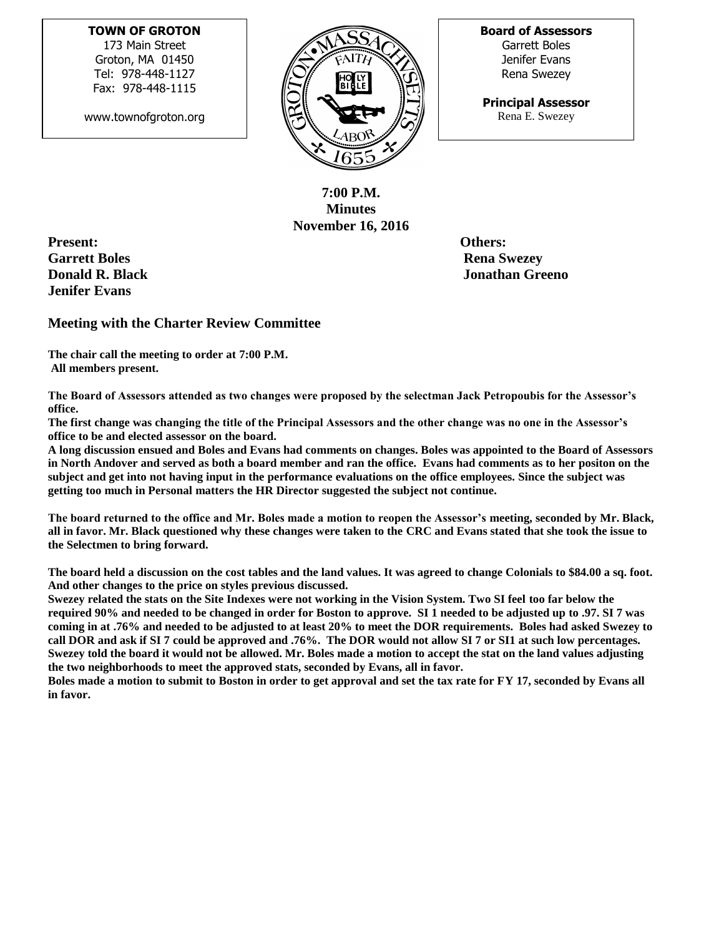## **TOWN OF GROTON**

173 Main Street Groton, MA 01450 Tel: 978-448-1127 Fax: 978-448-1115

www.townofgroton.org



**Board of Assessors** Garrett Boles Jenifer Evans Rena Swezey

**Principal Assessor** Rena E. Swezey

**7:00 P.M. Minutes November 16, 2016**

**Present: Others: Garrett Boles** Rena Swezey **Rena Swezey Jenifer Evans**

**Donald R. Black Jonathan Greeno**

## **Meeting with the Charter Review Committee**

**The chair call the meeting to order at 7:00 P.M. All members present.** 

**The Board of Assessors attended as two changes were proposed by the selectman Jack Petropoubis for the Assessor's office.** 

**The first change was changing the title of the Principal Assessors and the other change was no one in the Assessor's office to be and elected assessor on the board.**

**A long discussion ensued and Boles and Evans had comments on changes. Boles was appointed to the Board of Assessors in North Andover and served as both a board member and ran the office. Evans had comments as to her positon on the subject and get into not having input in the performance evaluations on the office employees. Since the subject was getting too much in Personal matters the HR Director suggested the subject not continue.**

**The board returned to the office and Mr. Boles made a motion to reopen the Assessor's meeting, seconded by Mr. Black, all in favor. Mr. Black questioned why these changes were taken to the CRC and Evans stated that she took the issue to the Selectmen to bring forward.**

**The board held a discussion on the cost tables and the land values. It was agreed to change Colonials to \$84.00 a sq. foot. And other changes to the price on styles previous discussed.** 

**Swezey related the stats on the Site Indexes were not working in the Vision System. Two SI feel too far below the required 90% and needed to be changed in order for Boston to approve. SI 1 needed to be adjusted up to .97. SI 7 was coming in at .76% and needed to be adjusted to at least 20% to meet the DOR requirements. Boles had asked Swezey to call DOR and ask if SI 7 could be approved and .76%. The DOR would not allow SI 7 or SI1 at such low percentages. Swezey told the board it would not be allowed. Mr. Boles made a motion to accept the stat on the land values adjusting the two neighborhoods to meet the approved stats, seconded by Evans, all in favor.**

**Boles made a motion to submit to Boston in order to get approval and set the tax rate for FY 17, seconded by Evans all in favor.**